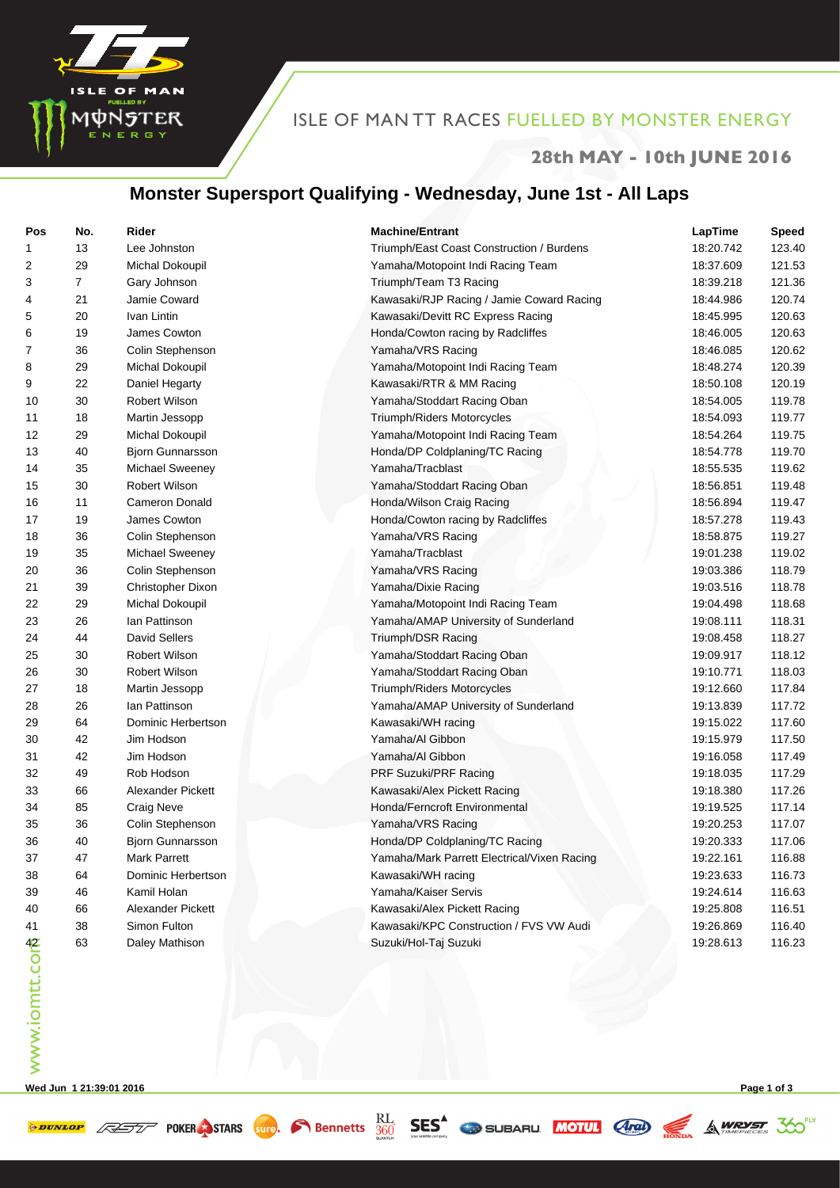

# ISLE OF MAN TT RACES FUELLED BY MONSTER ENERGY

#### **28th MAY - 10th JUNE 2016**

## **Monster Supersport Qualifying - Wednesday, June 1st - All Laps**

| Pos           | No.            | Rider                    | <b>Machine/Entrant</b>                      | LapTime   | <b>Speed</b> |
|---------------|----------------|--------------------------|---------------------------------------------|-----------|--------------|
| 1             | 13             | Lee Johnston             | Triumph/East Coast Construction / Burdens   | 18:20.742 | 123.40       |
| 2             | 29             | Michal Dokoupil          | Yamaha/Motopoint Indi Racing Team           | 18:37.609 | 121.53       |
| 3             | $\overline{7}$ | Gary Johnson             | Triumph/Team T3 Racing                      | 18:39.218 | 121.36       |
| 4             | 21             | Jamie Coward             | Kawasaki/RJP Racing / Jamie Coward Racing   | 18:44.986 | 120.74       |
| 5             | 20             | Ivan Lintin              | Kawasaki/Devitt RC Express Racing           | 18:45.995 | 120.63       |
| 6             | 19             | James Cowton             | Honda/Cowton racing by Radcliffes           | 18:46.005 | 120.63       |
| 7             | 36             | Colin Stephenson         | Yamaha/VRS Racing                           | 18:46.085 | 120.62       |
| 8             | 29             | Michal Dokoupil          | Yamaha/Motopoint Indi Racing Team           | 18:48.274 | 120.39       |
| 9             | 22             | Daniel Hegarty           | Kawasaki/RTR & MM Racing                    | 18:50.108 | 120.19       |
| 10            | 30             | Robert Wilson            | Yamaha/Stoddart Racing Oban                 | 18:54.005 | 119.78       |
| 11            | 18             | Martin Jessopp           | Triumph/Riders Motorcycles                  | 18:54.093 | 119.77       |
| 12            | 29             | Michal Dokoupil          | Yamaha/Motopoint Indi Racing Team           | 18:54.264 | 119.75       |
| 13            | 40             | Bjorn Gunnarsson         | Honda/DP Coldplaning/TC Racing              | 18:54.778 | 119.70       |
| 14            | 35             | Michael Sweeney          | Yamaha/Tracblast                            | 18:55.535 | 119.62       |
| 15            | 30             | <b>Robert Wilson</b>     | Yamaha/Stoddart Racing Oban                 | 18:56.851 | 119.48       |
| 16            | 11             | <b>Cameron Donald</b>    | Honda/Wilson Craig Racing                   | 18:56.894 | 119.47       |
| 17            | 19             | James Cowton             | Honda/Cowton racing by Radcliffes           | 18:57.278 | 119.43       |
| 18            | 36             | Colin Stephenson         | Yamaha/VRS Racing                           | 18:58.875 | 119.27       |
| 19            | 35             | <b>Michael Sweeney</b>   | Yamaha/Tracblast                            | 19:01.238 | 119.02       |
| 20            | 36             | Colin Stephenson         | Yamaha/VRS Racing                           | 19:03.386 | 118.79       |
| 21            | 39             | Christopher Dixon        | Yamaha/Dixie Racing                         | 19:03.516 | 118.78       |
| 22            | 29             | Michal Dokoupil          | Yamaha/Motopoint Indi Racing Team           | 19:04.498 | 118.68       |
| 23            | 26             | lan Pattinson            | Yamaha/AMAP University of Sunderland        | 19:08.111 | 118.31       |
| 24            | 44             | <b>David Sellers</b>     | Triumph/DSR Racing                          | 19:08.458 | 118.27       |
| 25            | 30             | Robert Wilson            | Yamaha/Stoddart Racing Oban                 | 19:09.917 | 118.12       |
| 26            | 30             | Robert Wilson            | Yamaha/Stoddart Racing Oban                 | 19:10.771 | 118.03       |
| 27            | 18             | Martin Jessopp           | Triumph/Riders Motorcycles                  | 19:12.660 | 117.84       |
| 28            | 26             | lan Pattinson            | Yamaha/AMAP University of Sunderland        | 19:13.839 | 117.72       |
| 29            | 64             | Dominic Herbertson       | Kawasaki/WH racing                          | 19:15.022 | 117.60       |
| 30            | 42             | Jim Hodson               | Yamaha/Al Gibbon                            | 19:15.979 | 117.50       |
| 31            | 42             | Jim Hodson               | Yamaha/Al Gibbon                            | 19:16.058 | 117.49       |
| 32            | 49             | Rob Hodson               | PRF Suzuki/PRF Racing                       | 19:18.035 | 117.29       |
| 33            | 66             | <b>Alexander Pickett</b> | Kawasaki/Alex Pickett Racing                | 19:18.380 | 117.26       |
| 34            | 85             | <b>Craig Neve</b>        | Honda/Ferncroft Environmental               | 19:19.525 | 117.14       |
| 35            | 36             | Colin Stephenson         | Yamaha/VRS Racing                           | 19:20.253 | 117.07       |
| 36            | 40             | <b>Bjorn Gunnarsson</b>  | Honda/DP Coldplaning/TC Racing              | 19:20.333 | 117.06       |
| 37            | 47             | Mark Parrett             | Yamaha/Mark Parrett Electrical/Vixen Racing | 19:22.161 | 116.88       |
| 38            | 64             | Dominic Herbertson       | Kawasaki/WH racing                          | 19:23.633 | 116.73       |
| 39            | 46             | Kamil Holan              | Yamaha/Kaiser Servis                        | 19:24.614 | 116.63       |
| 40            | 66             | Alexander Pickett        | Kawasaki/Alex Pickett Racing                | 19:25.808 | 116.51       |
| 41            | 38             | Simon Fulton             | Kawasaki/KPC Construction / FVS VW Audi     | 19:26.869 | 116.40       |
|               | 63             | Daley Mathison           | Suzuki/Hol-Taj Suzuki                       | 19:28.613 | 116.23       |
| www.iomtt.com |                |                          |                                             |           |              |

**Wed Jun 1 21:39:01 2016 Page 1 of 3**

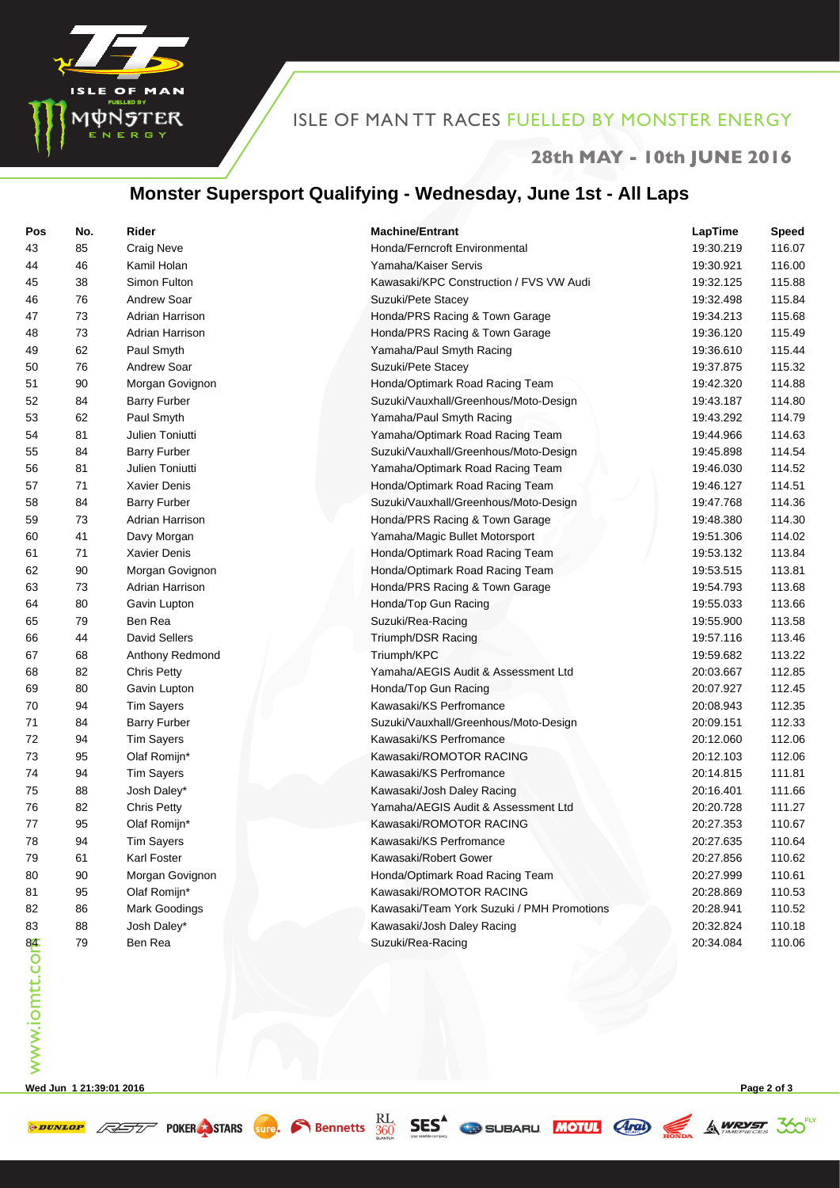

## ISLE OF MAN TT RACES FUELLED BY MONSTER ENERGY

#### **28th MAY - 10th JUNE 2016**

## **Monster Supersport Qualifying - Wednesday, June 1st - All Laps**

| Pos                | No. | Rider               | <b>Machine/Entrant</b>                     | LapTime   | <b>Speed</b> |
|--------------------|-----|---------------------|--------------------------------------------|-----------|--------------|
| 43                 | 85  | <b>Craig Neve</b>   | Honda/Ferncroft Environmental              | 19:30.219 | 116.07       |
| 44                 | 46  | Kamil Holan         | Yamaha/Kaiser Servis                       | 19:30.921 | 116.00       |
| 45                 | 38  | Simon Fulton        | Kawasaki/KPC Construction / FVS VW Audi    | 19:32.125 | 115.88       |
| 46                 | 76  | Andrew Soar         | Suzuki/Pete Stacey                         | 19:32.498 | 115.84       |
| 47                 | 73  | Adrian Harrison     | Honda/PRS Racing & Town Garage             | 19:34.213 | 115.68       |
| 48                 | 73  | Adrian Harrison     | Honda/PRS Racing & Town Garage             | 19:36.120 | 115.49       |
| 49                 | 62  | Paul Smyth          | Yamaha/Paul Smyth Racing                   | 19:36.610 | 115.44       |
| 50                 | 76  | Andrew Soar         | Suzuki/Pete Stacey                         | 19:37.875 | 115.32       |
| 51                 | 90  | Morgan Govignon     | Honda/Optimark Road Racing Team            | 19:42.320 | 114.88       |
| 52                 | 84  | <b>Barry Furber</b> | Suzuki/Vauxhall/Greenhous/Moto-Design      | 19:43.187 | 114.80       |
| 53                 | 62  | Paul Smyth          | Yamaha/Paul Smyth Racing                   | 19:43.292 | 114.79       |
| 54                 | 81  | Julien Toniutti     | Yamaha/Optimark Road Racing Team           | 19:44.966 | 114.63       |
| 55                 | 84  | <b>Barry Furber</b> | Suzuki/Vauxhall/Greenhous/Moto-Design      | 19:45.898 | 114.54       |
| 56                 | 81  | Julien Toniutti     | Yamaha/Optimark Road Racing Team           | 19:46.030 | 114.52       |
| 57                 | 71  | Xavier Denis        | Honda/Optimark Road Racing Team            | 19:46.127 | 114.51       |
| 58                 | 84  | <b>Barry Furber</b> | Suzuki/Vauxhall/Greenhous/Moto-Design      | 19:47.768 | 114.36       |
| 59                 | 73  | Adrian Harrison     | Honda/PRS Racing & Town Garage             | 19:48.380 | 114.30       |
| 60                 | 41  | Davy Morgan         | Yamaha/Magic Bullet Motorsport             | 19:51.306 | 114.02       |
| 61                 | 71  | Xavier Denis        | Honda/Optimark Road Racing Team            | 19:53.132 | 113.84       |
| 62                 | 90  | Morgan Govignon     | Honda/Optimark Road Racing Team            | 19:53.515 | 113.81       |
| 63                 | 73  | Adrian Harrison     | Honda/PRS Racing & Town Garage             | 19:54.793 | 113.68       |
| 64                 | 80  | Gavin Lupton        | Honda/Top Gun Racing                       | 19:55.033 | 113.66       |
| 65                 | 79  | Ben Rea             | Suzuki/Rea-Racing                          | 19:55.900 | 113.58       |
| 66                 | 44  | David Sellers       | Triumph/DSR Racing                         | 19:57.116 | 113.46       |
| 67                 | 68  | Anthony Redmond     | Triumph/KPC                                | 19:59.682 | 113.22       |
| 68                 | 82  | <b>Chris Petty</b>  | Yamaha/AEGIS Audit & Assessment Ltd        | 20:03.667 | 112.85       |
| 69                 | 80  | Gavin Lupton        | Honda/Top Gun Racing                       | 20:07.927 | 112.45       |
| 70                 | 94  | <b>Tim Sayers</b>   | Kawasaki/KS Perfromance                    | 20:08.943 | 112.35       |
| 71                 | 84  | <b>Barry Furber</b> | Suzuki/Vauxhall/Greenhous/Moto-Design      | 20:09.151 | 112.33       |
| 72                 | 94  | <b>Tim Sayers</b>   | Kawasaki/KS Perfromance                    | 20:12.060 | 112.06       |
| 73                 | 95  | Olaf Romijn*        | Kawasaki/ROMOTOR RACING                    | 20:12.103 | 112.06       |
| 74                 | 94  | <b>Tim Sayers</b>   | Kawasaki/KS Perfromance                    | 20:14.815 | 111.81       |
| 75                 | 88  | Josh Daley*         | Kawasaki/Josh Daley Racing                 | 20:16.401 | 111.66       |
| 76                 | 82  | <b>Chris Petty</b>  | Yamaha/AEGIS Audit & Assessment Ltd        | 20:20.728 | 111.27       |
| 77                 | 95  | Olaf Romijn*        | Kawasaki/ROMOTOR RACING                    | 20:27.353 | 110.67       |
| 78                 | 94  | <b>Tim Sayers</b>   | Kawasaki/KS Perfromance                    | 20:27.635 | 110.64       |
| 79                 | 61  | Karl Foster         | Kawasaki/Robert Gower                      | 20:27.856 | 110.62       |
| 80                 | 90  | Morgan Govignon     | Honda/Optimark Road Racing Team            | 20:27.999 | 110.61       |
| 81                 | 95  | Olaf Romijn*        | Kawasaki/ROMOTOR RACING                    | 20:28.869 | 110.53       |
| 82                 | 86  | Mark Goodings       | Kawasaki/Team York Suzuki / PMH Promotions | 20:28.941 | 110.52       |
| 83                 | 88  | Josh Daley*         | Kawasaki/Josh Daley Racing                 | 20:32.824 | 110.18       |
| 84<br>www.iomtt.co | 79  | Ben Rea             | Suzuki/Rea-Racing                          | 20:34.084 | 110.06       |
|                    |     |                     |                                            |           |              |

**Wed Jun 1 21:39:01 2016 Page 2 of 3**

**SES SES SUBARU MOUL AND SES SUBARU DES A MOUL AND SAMPLET**